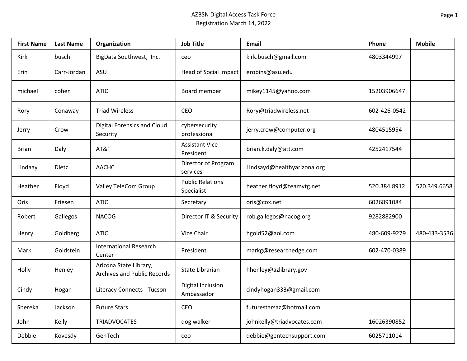## AZBSN Digital Access Task Force Registration March 14, 2022

| <b>First Name</b> | <b>Last Name</b> | Organization                                          | <b>Job Title</b>                      | Email                       | Phone        | <b>Mobile</b> |
|-------------------|------------------|-------------------------------------------------------|---------------------------------------|-----------------------------|--------------|---------------|
| Kirk              | busch            | BigData Southwest, Inc.                               | ceo                                   | kirk.busch@gmail.com        | 4803344997   |               |
| Erin              | Carr-Jordan      | ASU                                                   | <b>Head of Social Impact</b>          | erobins@asu.edu             |              |               |
| michael           | cohen            | <b>ATIC</b>                                           | Board member                          | mikey1145@yahoo.com         | 15203906647  |               |
| Rory              | Conaway          | <b>Triad Wireless</b>                                 | CEO                                   | Rory@triadwireless.net      | 602-426-0542 |               |
| Jerry             | Crow             | <b>Digital Forensics and Cloud</b><br>Security        | cybersecurity<br>professional         | jerry.crow@computer.org     | 4804515954   |               |
| <b>Brian</b>      | Daly             | AT&T                                                  | <b>Assistant Vice</b><br>President    | brian.k.daly@att.com        | 4252417544   |               |
| Lindaay           | Dietz            | <b>AACHC</b>                                          | Director of Program<br>services       | Lindsayd@healthyarizona.org |              |               |
| Heather           | Floyd            | <b>Valley TeleCom Group</b>                           | <b>Public Relations</b><br>Specialist | heather.floyd@teamvtg.net   | 520.384.8912 | 520.349.6658  |
| Oris              | Friesen          | <b>ATIC</b>                                           | Secretary                             | oris@cox.net                | 6026891084   |               |
| Robert            | Gallegos         | <b>NACOG</b>                                          | Director IT & Security                | rob.gallegos@nacog.org      | 9282882900   |               |
| Henry             | Goldberg         | <b>ATIC</b>                                           | Vice Chair                            | hgold52@aol.com             | 480-609-9279 | 480-433-3536  |
| Mark              | Goldstein        | <b>International Research</b><br>Center               | President                             | markg@researchedge.com      | 602-470-0389 |               |
| Holly             | Henley           | Arizona State Library,<br>Archives and Public Records | State Librarian                       | hhenley@azlibrary.gov       |              |               |
| Cindy             | Hogan            | <b>Literacy Connects - Tucson</b>                     | Digital Inclusion<br>Ambassador       | cindyhogan333@gmail.com     |              |               |
| Shereka           | Jackson          | <b>Future Stars</b>                                   | CEO                                   | futurestarsaz@hotmail.com   |              |               |
| John              | Kelly            | <b>TRIADVOCATES</b>                                   | dog walker                            | johnkelly@triadvocates.com  | 16026390852  |               |
| Debbie            | Kovesdy          | GenTech                                               | ceo                                   | debbie@gentechsupport.com   | 6025711014   |               |